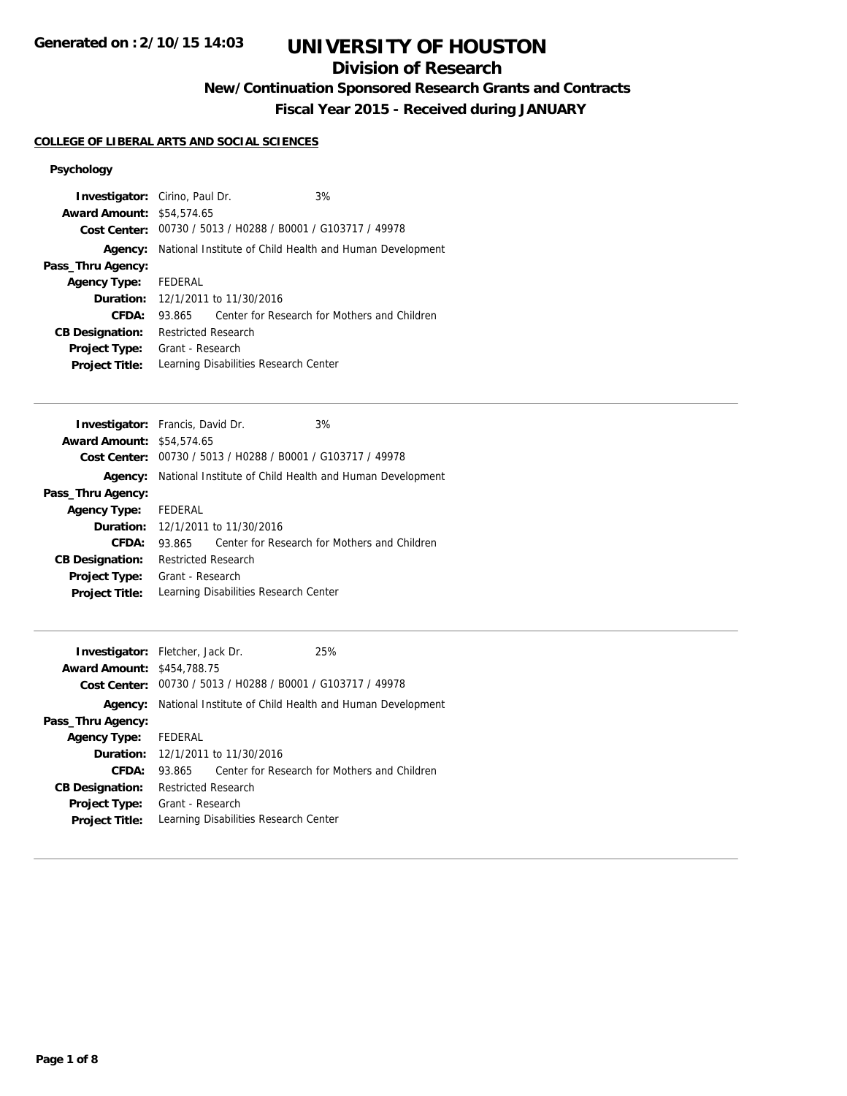## **Division of Research**

**New/Continuation Sponsored Research Grants and Contracts**

**Fiscal Year 2015 - Received during JANUARY**

## **COLLEGE OF LIBERAL ARTS AND SOCIAL SCIENCES**

## **Psychology**

|                                       |  | 3%                                                                                                      |                                                                                                                                                                                                                     |
|---------------------------------------|--|---------------------------------------------------------------------------------------------------------|---------------------------------------------------------------------------------------------------------------------------------------------------------------------------------------------------------------------|
| Agency:                               |  |                                                                                                         |                                                                                                                                                                                                                     |
|                                       |  |                                                                                                         |                                                                                                                                                                                                                     |
| <b>Agency Type:</b> FEDERAL           |  |                                                                                                         |                                                                                                                                                                                                                     |
|                                       |  |                                                                                                         |                                                                                                                                                                                                                     |
| 93.865                                |  |                                                                                                         |                                                                                                                                                                                                                     |
|                                       |  |                                                                                                         |                                                                                                                                                                                                                     |
| Grant - Research                      |  |                                                                                                         |                                                                                                                                                                                                                     |
| Learning Disabilities Research Center |  |                                                                                                         |                                                                                                                                                                                                                     |
|                                       |  | <b>Investigator:</b> Cirino, Paul Dr.<br><b>Award Amount: \$54,574.65</b><br><b>Restricted Research</b> | Cost Center: 00730 / 5013 / H0288 / B0001 / G103717 / 49978<br>National Institute of Child Health and Human Development<br><b>Duration:</b> 12/1/2011 to 11/30/2016<br>Center for Research for Mothers and Children |

| <b>Investigator:</b> Francis, David Dr.                     |                            | 3%                                    |                                                                         |
|-------------------------------------------------------------|----------------------------|---------------------------------------|-------------------------------------------------------------------------|
| <b>Award Amount: \$54,574.65</b>                            |                            |                                       |                                                                         |
| Cost Center: 00730 / 5013 / H0288 / B0001 / G103717 / 49978 |                            |                                       |                                                                         |
|                                                             |                            |                                       | <b>Agency:</b> National Institute of Child Health and Human Development |
| Pass_Thru Agency:                                           |                            |                                       |                                                                         |
| Agency Type: FEDERAL                                        |                            |                                       |                                                                         |
| <b>Duration:</b> 12/1/2011 to 11/30/2016                    |                            |                                       |                                                                         |
| <b>CFDA:</b>                                                | 93.865                     |                                       | Center for Research for Mothers and Children                            |
| <b>CB Designation:</b>                                      | <b>Restricted Research</b> |                                       |                                                                         |
| <b>Project Type:</b>                                        | Grant - Research           |                                       |                                                                         |
| <b>Project Title:</b>                                       |                            | Learning Disabilities Research Center |                                                                         |

| <b>Investigator:</b> Fletcher, Jack Dr.<br><b>Award Amount: \$454,788.75</b> |                                                          | Cost Center: 00730 / 5013 / H0288 / B0001 / G103717 / 49978 | 25%                                          |
|------------------------------------------------------------------------------|----------------------------------------------------------|-------------------------------------------------------------|----------------------------------------------|
| Agency:                                                                      | National Institute of Child Health and Human Development |                                                             |                                              |
| Pass_Thru Agency:                                                            |                                                          |                                                             |                                              |
| <b>Agency Type:</b>                                                          | FEDERAL                                                  |                                                             |                                              |
|                                                                              | <b>Duration:</b> 12/1/2011 to 11/30/2016                 |                                                             |                                              |
| CFDA:                                                                        | 93.865                                                   |                                                             | Center for Research for Mothers and Children |
| <b>CB Designation:</b>                                                       | Restricted Research                                      |                                                             |                                              |
| <b>Project Type:</b>                                                         | Grant - Research                                         |                                                             |                                              |
| <b>Project Title:</b>                                                        |                                                          | Learning Disabilities Research Center                       |                                              |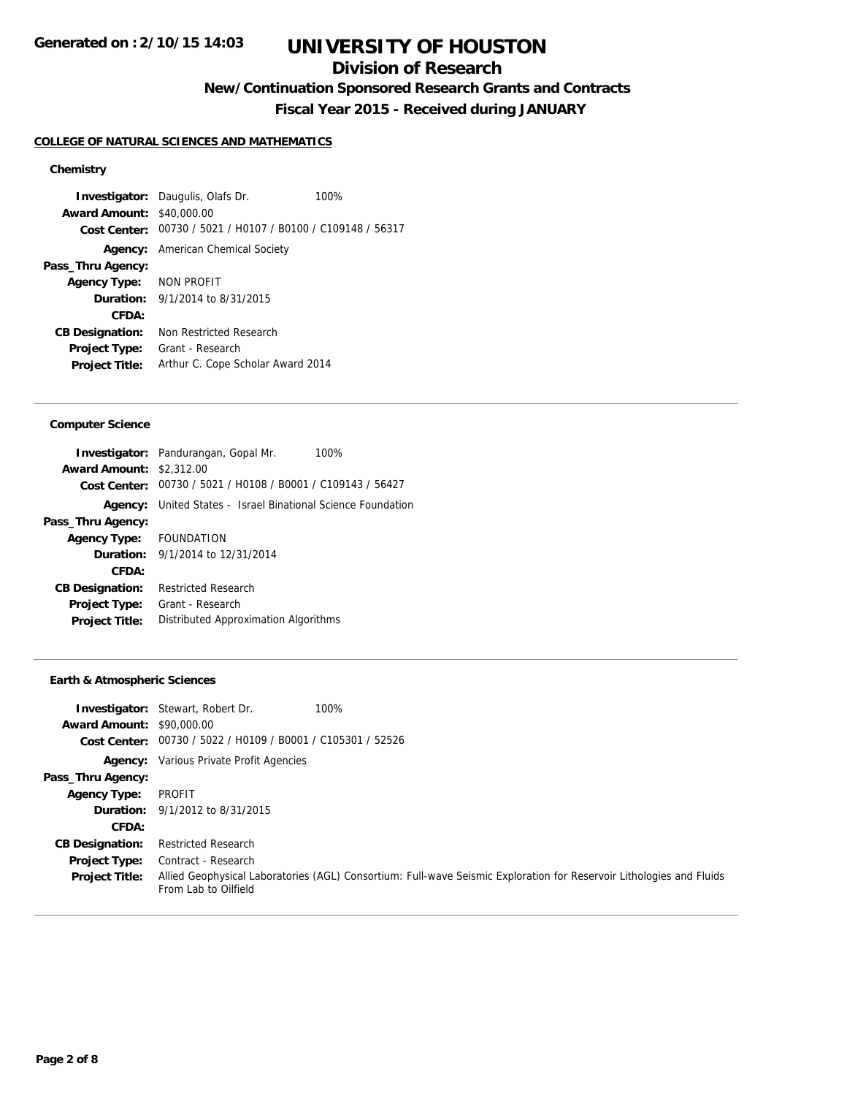## **Division of Research**

**New/Continuation Sponsored Research Grants and Contracts**

**Fiscal Year 2015 - Received during JANUARY**

#### **COLLEGE OF NATURAL SCIENCES AND MATHEMATICS**

### **Chemistry**

**Investigator:** Daugulis, Olafs Dr. 100% **Award Amount:** \$40,000.00 **Cost Center:** 00730 / 5021 / H0107 / B0100 / C109148 / 56317 **Agency:** American Chemical Society **Pass\_Thru Agency: Agency Type:** NON PROFIT **Duration:** 9/1/2014 to 8/31/2015 **CFDA: CB Designation:** Non Restricted Research **Project Type:** Grant - Research **Project Title:** Arthur C. Cope Scholar Award 2014

### **Computer Science**

|                                 | <b>Investigator:</b> Pandurangan, Gopal Mr.                         | 100% |
|---------------------------------|---------------------------------------------------------------------|------|
| <b>Award Amount: \$2,312.00</b> |                                                                     |      |
|                                 | Cost Center: 00730 / 5021 / H0108 / B0001 / C109143 / 56427         |      |
|                                 | <b>Agency:</b> United States - Israel Binational Science Foundation |      |
| Pass_Thru Agency:               |                                                                     |      |
| Agency Type: FOUNDATION         |                                                                     |      |
|                                 | <b>Duration:</b> $9/1/2014$ to $12/31/2014$                         |      |
| CFDA:                           |                                                                     |      |
| <b>CB Designation:</b>          | Restricted Research                                                 |      |
| <b>Project Type:</b>            | Grant - Research                                                    |      |
| <b>Project Title:</b>           | Distributed Approximation Algorithms                                |      |
|                                 |                                                                     |      |

#### **Earth & Atmospheric Sciences**

| <b>Award Amount: \$90,000.00</b>       | <b>Investigator:</b> Stewart, Robert Dr.<br>Cost Center: 00730 / 5022 / H0109 / B0001 / C105301 / 52526 | 100%                                                                                                                 |
|----------------------------------------|---------------------------------------------------------------------------------------------------------|----------------------------------------------------------------------------------------------------------------------|
|                                        | <b>Agency:</b> Various Private Profit Agencies                                                          |                                                                                                                      |
| Pass_Thru Agency:                      |                                                                                                         |                                                                                                                      |
| <b>Agency Type:</b>                    | PROFIT                                                                                                  |                                                                                                                      |
|                                        | <b>Duration:</b> $9/1/2012$ to $8/31/2015$                                                              |                                                                                                                      |
| CFDA:                                  |                                                                                                         |                                                                                                                      |
| <b>CB Designation:</b>                 | <b>Restricted Research</b>                                                                              |                                                                                                                      |
| Project Type:<br><b>Project Title:</b> | Contract - Research<br>From Lab to Oilfield                                                             | Allied Geophysical Laboratories (AGL) Consortium: Full-wave Seismic Exploration for Reservoir Lithologies and Fluids |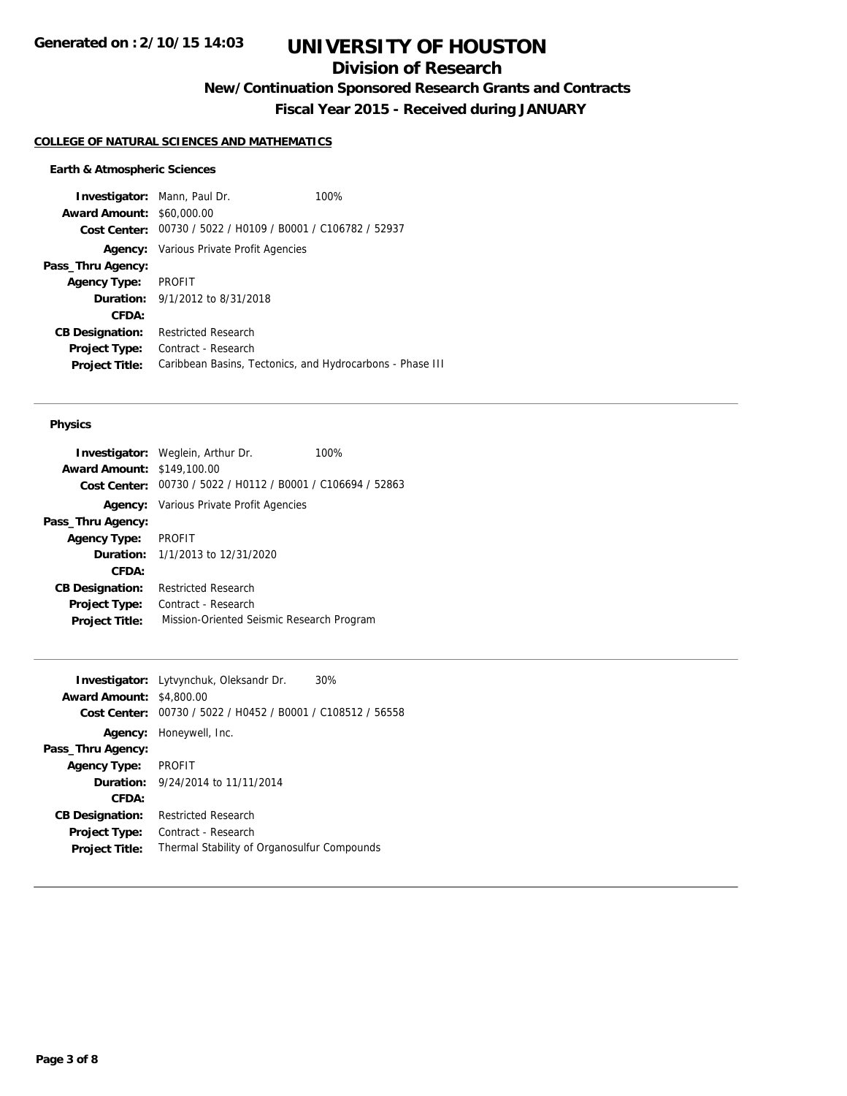# **Division of Research**

**New/Continuation Sponsored Research Grants and Contracts**

**Fiscal Year 2015 - Received during JANUARY**

#### **COLLEGE OF NATURAL SCIENCES AND MATHEMATICS**

#### **Earth & Atmospheric Sciences**

**Investigator:** Mann, Paul Dr. 100% **Award Amount:** \$60,000.00 **Cost Center:** 00730 / 5022 / H0109 / B0001 / C106782 / 52937 **Agency:** Various Private Profit Agencies **Pass\_Thru Agency: Agency Type:** PROFIT **Duration:** 9/1/2012 to 8/31/2018 **CFDA: CB Designation:** Restricted Research **Project Type:** Contract - Research **Project Title:** Caribbean Basins, Tectonics, and Hydrocarbons - Phase III

### **Physics**

|                                   | <b>Investigator:</b> Weglein, Arthur Dr.                    | 100% |
|-----------------------------------|-------------------------------------------------------------|------|
| <b>Award Amount: \$149,100.00</b> |                                                             |      |
|                                   | Cost Center: 00730 / 5022 / H0112 / B0001 / C106694 / 52863 |      |
|                                   | <b>Agency:</b> Various Private Profit Agencies              |      |
| Pass_Thru Agency:                 |                                                             |      |
| <b>Agency Type:</b>               | PROFIT                                                      |      |
|                                   | <b>Duration:</b> $1/1/2013$ to $12/31/2020$                 |      |
| CFDA:                             |                                                             |      |
| <b>CB Designation:</b>            | <b>Restricted Research</b>                                  |      |
| Project Type:                     | Contract - Research                                         |      |
| <b>Project Title:</b>             | Mission-Oriented Seismic Research Program                   |      |

| <b>Investigator:</b> Lytvynchuk, Oleksandr Dr. | 30%                                                                                                        |
|------------------------------------------------|------------------------------------------------------------------------------------------------------------|
| <b>Award Amount: \$4,800.00</b>                |                                                                                                            |
|                                                |                                                                                                            |
| <b>Agency:</b> Honeywell, Inc.                 |                                                                                                            |
|                                                |                                                                                                            |
| <b>PROFIT</b>                                  |                                                                                                            |
| <b>Duration:</b> 9/24/2014 to 11/11/2014       |                                                                                                            |
|                                                |                                                                                                            |
| <b>Restricted Research</b>                     |                                                                                                            |
| Contract - Research                            |                                                                                                            |
|                                                |                                                                                                            |
|                                                | Cost Center: 00730 / 5022 / H0452 / B0001 / C108512 / 56558<br>Thermal Stability of Organosulfur Compounds |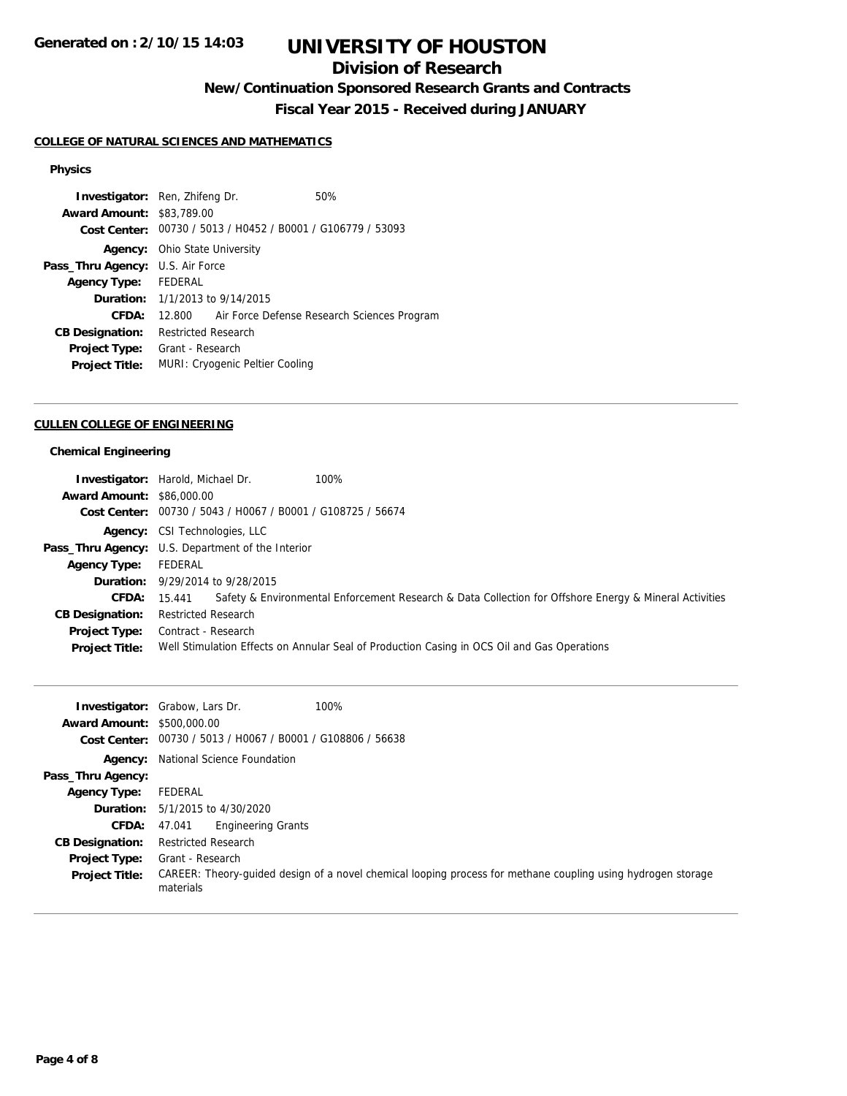## **Division of Research**

**New/Continuation Sponsored Research Grants and Contracts**

**Fiscal Year 2015 - Received during JANUARY**

## **COLLEGE OF NATURAL SCIENCES AND MATHEMATICS**

### **Physics**

| <b>Award Amount: \$83,789.00</b><br>Cost Center: 00730 / 5013 / H0452 / B0001 / G106779 / 53093<br><b>Agency:</b> Ohio State University<br><b>Pass_Thru Agency: U.S. Air Force</b><br>Agency Type: FEDERAL<br><b>Duration:</b> 1/1/2013 to 9/14/2015<br>CFDA:<br>12.800 Air Force Defense Research Sciences Program<br><b>Restricted Research</b><br><b>CB Designation:</b><br>Grant - Research<br><b>Project Type:</b><br>MURI: Cryogenic Peltier Cooling<br><b>Project Title:</b> | <b>Investigator:</b> Ren, Zhifeng Dr. |  |  | 50% |  |
|-------------------------------------------------------------------------------------------------------------------------------------------------------------------------------------------------------------------------------------------------------------------------------------------------------------------------------------------------------------------------------------------------------------------------------------------------------------------------------------|---------------------------------------|--|--|-----|--|
|                                                                                                                                                                                                                                                                                                                                                                                                                                                                                     |                                       |  |  |     |  |
|                                                                                                                                                                                                                                                                                                                                                                                                                                                                                     |                                       |  |  |     |  |
|                                                                                                                                                                                                                                                                                                                                                                                                                                                                                     |                                       |  |  |     |  |
|                                                                                                                                                                                                                                                                                                                                                                                                                                                                                     |                                       |  |  |     |  |
|                                                                                                                                                                                                                                                                                                                                                                                                                                                                                     |                                       |  |  |     |  |
|                                                                                                                                                                                                                                                                                                                                                                                                                                                                                     |                                       |  |  |     |  |
|                                                                                                                                                                                                                                                                                                                                                                                                                                                                                     |                                       |  |  |     |  |
|                                                                                                                                                                                                                                                                                                                                                                                                                                                                                     |                                       |  |  |     |  |
|                                                                                                                                                                                                                                                                                                                                                                                                                                                                                     |                                       |  |  |     |  |
|                                                                                                                                                                                                                                                                                                                                                                                                                                                                                     |                                       |  |  |     |  |

#### **CULLEN COLLEGE OF ENGINEERING**

#### **Chemical Engineering**

|                                  | 100%<br><b>Investigator:</b> Harold, Michael Dr.                                                                       |
|----------------------------------|------------------------------------------------------------------------------------------------------------------------|
| <b>Award Amount: \$86,000.00</b> |                                                                                                                        |
|                                  | Cost Center: 00730 / 5043 / H0067 / B0001 / G108725 / 56674                                                            |
|                                  | Agency: CSI Technologies, LLC                                                                                          |
|                                  | <b>Pass_Thru Agency:</b> U.S. Department of the Interior                                                               |
| Agency Type: FEDERAL             |                                                                                                                        |
|                                  | <b>Duration:</b> 9/29/2014 to 9/28/2015                                                                                |
|                                  | Safety & Environmental Enforcement Research & Data Collection for Offshore Energy & Mineral Activities<br>CFDA: 15.441 |
| <b>CB Designation:</b>           | <b>Restricted Research</b>                                                                                             |
| Project Type:                    | Contract - Research                                                                                                    |
| <b>Project Title:</b>            | Well Stimulation Effects on Annular Seal of Production Casing in OCS Oil and Gas Operations                            |

|                                   | 100%<br><b>Investigator:</b> Grabow, Lars Dr.                                                                             |
|-----------------------------------|---------------------------------------------------------------------------------------------------------------------------|
| <b>Award Amount: \$500,000.00</b> |                                                                                                                           |
| Cost Center:                      | 00730 / 5013 / H0067 / B0001 / G108806 / 56638                                                                            |
| Agency:                           | National Science Foundation                                                                                               |
| Pass_Thru Agency:                 |                                                                                                                           |
| <b>Agency Type:</b>               | FEDERAL                                                                                                                   |
|                                   | <b>Duration:</b> $5/1/2015$ to $4/30/2020$                                                                                |
| <b>CFDA:</b> 47.041               | <b>Engineering Grants</b>                                                                                                 |
| <b>CB Designation:</b>            | <b>Restricted Research</b>                                                                                                |
| <b>Project Type:</b>              | Grant - Research                                                                                                          |
| <b>Project Title:</b>             | CAREER: Theory-quided design of a novel chemical looping process for methane coupling using hydrogen storage<br>materials |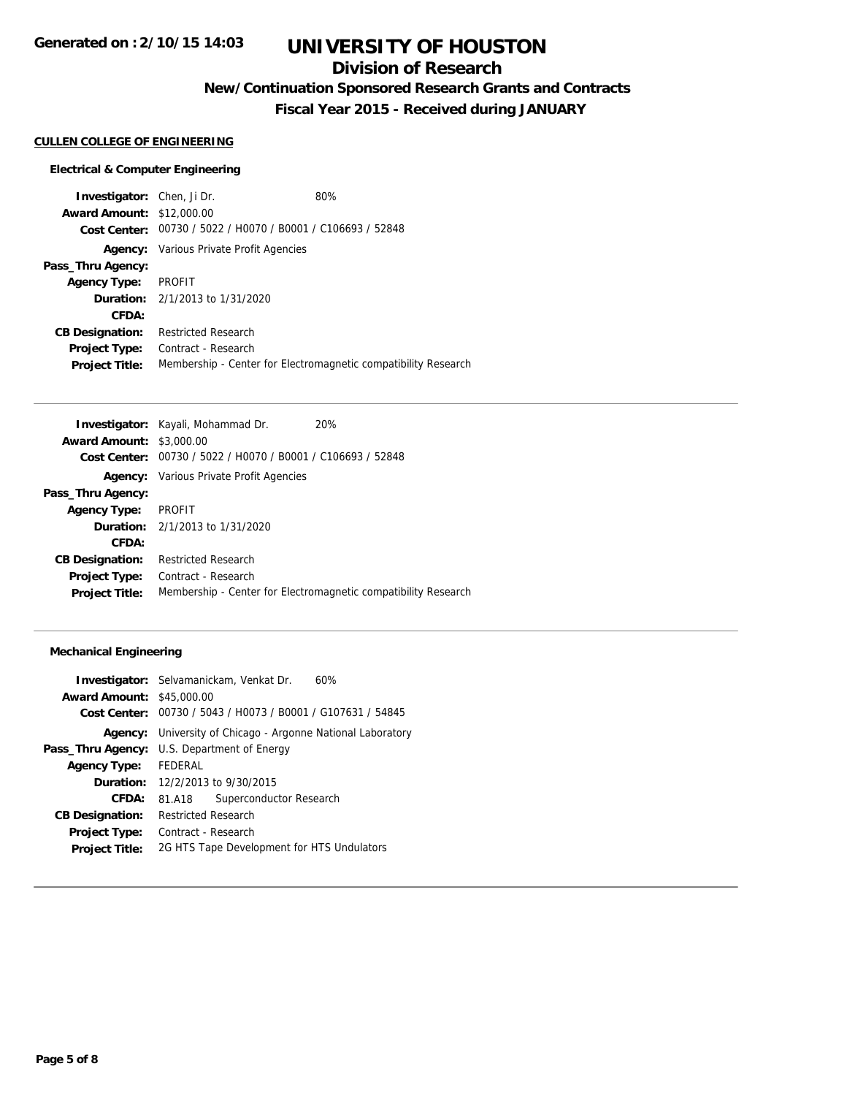## **Division of Research**

**New/Continuation Sponsored Research Grants and Contracts**

**Fiscal Year 2015 - Received during JANUARY**

#### **CULLEN COLLEGE OF ENGINEERING**

#### **Electrical & Computer Engineering**

**Investigator:** Chen, Ji Dr. 80% **Award Amount:** \$12,000.00 **Cost Center:** 00730 / 5022 / H0070 / B0001 / C106693 / 52848 **Agency:** Various Private Profit Agencies **Pass\_Thru Agency: Agency Type:** PROFIT **Duration:** 2/1/2013 to 1/31/2020 **CFDA: CB Designation:** Restricted Research **Project Type:** Contract - Research **Project Title:** Membership - Center for Electromagnetic compatibility Research

|                                 | <b>Investigator:</b> Kayali, Mohammad Dr.      | <b>20%</b>                                                     |
|---------------------------------|------------------------------------------------|----------------------------------------------------------------|
| <b>Award Amount: \$3,000.00</b> |                                                |                                                                |
| Cost Center:                    | 00730 / 5022 / H0070 / B0001 / C106693 / 52848 |                                                                |
|                                 | <b>Agency:</b> Various Private Profit Agencies |                                                                |
| Pass_Thru Agency:               |                                                |                                                                |
| <b>Agency Type:</b>             | PROFIT                                         |                                                                |
|                                 | <b>Duration:</b> 2/1/2013 to 1/31/2020         |                                                                |
| CFDA:                           |                                                |                                                                |
| <b>CB Designation:</b>          | <b>Restricted Research</b>                     |                                                                |
| <b>Project Type:</b>            | Contract - Research                            |                                                                |
| <b>Project Title:</b>           |                                                | Membership - Center for Electromagnetic compatibility Research |
|                                 |                                                |                                                                |

#### **Mechanical Engineering**

|                                  | <b>Investigator:</b> Selvamanickam, Venkat Dr.<br>60% |
|----------------------------------|-------------------------------------------------------|
| <b>Award Amount: \$45,000.00</b> |                                                       |
| Cost Center:                     | 00730 / 5043 / H0073 / B0001 / G107631 / 54845        |
| Agency:                          | University of Chicago - Argonne National Laboratory   |
|                                  | <b>Pass_Thru Agency:</b> U.S. Department of Energy    |
| Agency Type: FEDERAL             |                                                       |
|                                  | <b>Duration:</b> 12/2/2013 to 9/30/2015               |
| <b>CFDA:</b>                     | Superconductor Research<br>81.A18                     |
| <b>CB Designation:</b>           | <b>Restricted Research</b>                            |
| <b>Project Type:</b>             | Contract - Research                                   |
| <b>Project Title:</b>            | 2G HTS Tape Development for HTS Undulators            |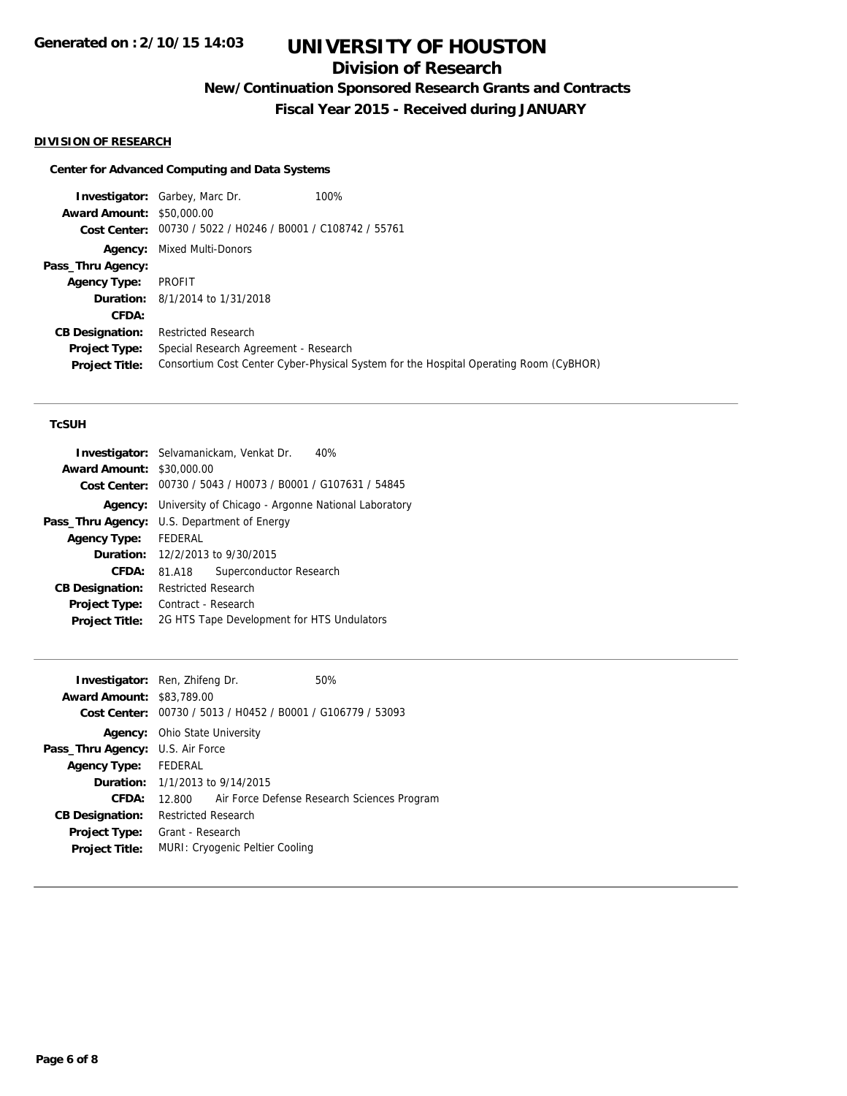# **Division of Research**

**New/Continuation Sponsored Research Grants and Contracts**

**Fiscal Year 2015 - Received during JANUARY**

### **DIVISION OF RESEARCH**

### **Center for Advanced Computing and Data Systems**

|                                  | <b>Investigator:</b> Garbey, Marc Dr.                       | 100%                                                                                  |
|----------------------------------|-------------------------------------------------------------|---------------------------------------------------------------------------------------|
| <b>Award Amount: \$50,000.00</b> |                                                             |                                                                                       |
|                                  | Cost Center: 00730 / 5022 / H0246 / B0001 / C108742 / 55761 |                                                                                       |
|                                  | <b>Agency:</b> Mixed Multi-Donors                           |                                                                                       |
| Pass_Thru Agency:                |                                                             |                                                                                       |
| <b>Agency Type:</b>              | PROFIT                                                      |                                                                                       |
|                                  | <b>Duration:</b> 8/1/2014 to 1/31/2018                      |                                                                                       |
| CFDA:                            |                                                             |                                                                                       |
| <b>CB Designation:</b>           | <b>Restricted Research</b>                                  |                                                                                       |
| <b>Project Type:</b>             | Special Research Agreement - Research                       |                                                                                       |
| <b>Project Title:</b>            |                                                             | Consortium Cost Center Cyber-Physical System for the Hospital Operating Room (CyBHOR) |

## **TcSUH**

| 40%<br><b>Investigator:</b> Selvamanickam, Venkat Dr.          |  |  |
|----------------------------------------------------------------|--|--|
| <b>Award Amount:</b><br>\$30,000.00                            |  |  |
| Cost Center: 00730 / 5043 / H0073 / B0001 / G107631 / 54845    |  |  |
| University of Chicago - Argonne National Laboratory<br>Agency: |  |  |
| U.S. Department of Energy                                      |  |  |
| FEDERAL                                                        |  |  |
| <b>Duration:</b> 12/2/2013 to 9/30/2015                        |  |  |
| Superconductor Research<br>81.A18                              |  |  |
| <b>Restricted Research</b>                                     |  |  |
| Contract - Research                                            |  |  |
| 2G HTS Tape Development for HTS Undulators                     |  |  |
|                                                                |  |  |

|                                         | <b>Investigator:</b> Ren, Zhifeng Dr.                       | 50% |  |
|-----------------------------------------|-------------------------------------------------------------|-----|--|
| <b>Award Amount: \$83,789.00</b>        |                                                             |     |  |
|                                         | Cost Center: 00730 / 5013 / H0452 / B0001 / G106779 / 53093 |     |  |
|                                         | <b>Agency:</b> Ohio State University                        |     |  |
| <b>Pass_Thru Agency: U.S. Air Force</b> |                                                             |     |  |
| Agency Type: FEDERAL                    |                                                             |     |  |
|                                         | <b>Duration:</b> $1/1/2013$ to $9/14/2015$                  |     |  |
| CFDA:                                   | 12.800 Air Force Defense Research Sciences Program          |     |  |
| <b>CB Designation:</b>                  | <b>Restricted Research</b>                                  |     |  |
| <b>Project Type:</b>                    | Grant - Research                                            |     |  |
| <b>Project Title:</b>                   | MURI: Cryogenic Peltier Cooling                             |     |  |
|                                         |                                                             |     |  |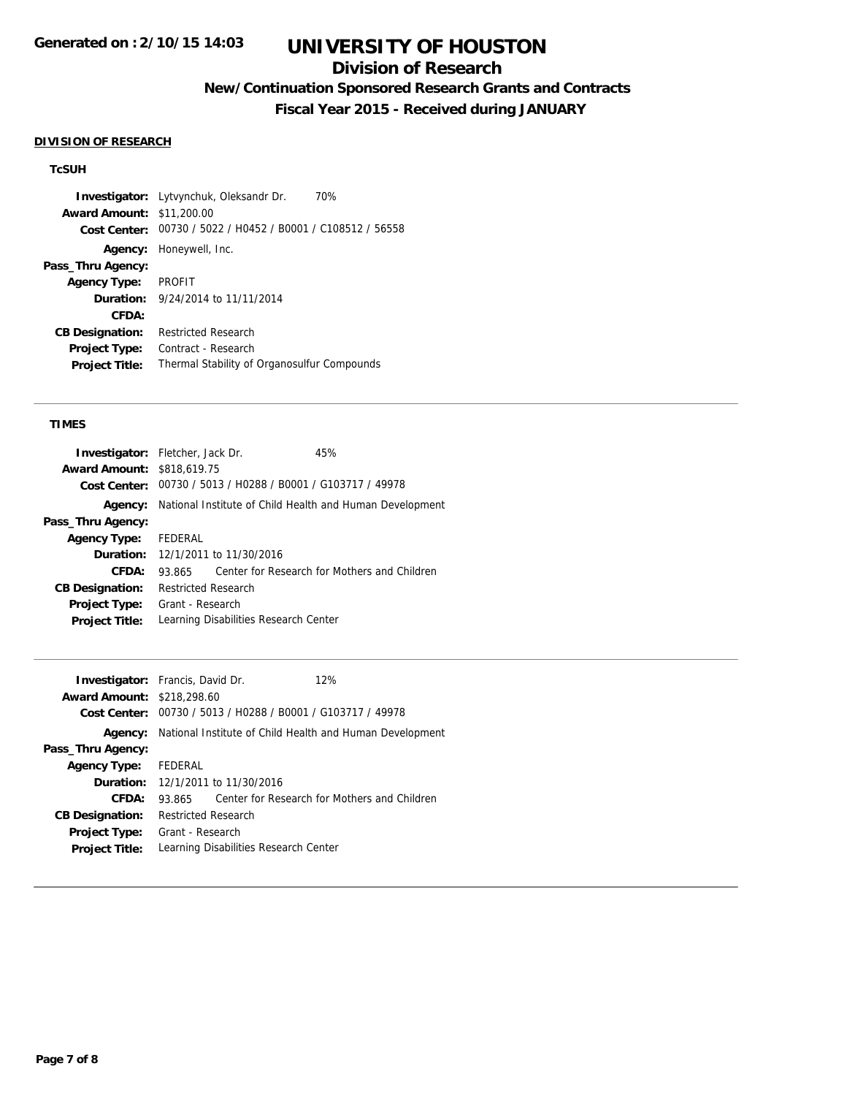## **Division of Research**

# **New/Continuation Sponsored Research Grants and Contracts**

**Fiscal Year 2015 - Received during JANUARY**

#### **DIVISION OF RESEARCH**

### **TcSUH**

**Investigator:** Lytvynchuk, Oleksandr Dr. 70% **Award Amount:** \$11,200.00 **Cost Center:** 00730 / 5022 / H0452 / B0001 / C108512 / 56558 **Agency:** Honeywell, Inc. **Pass\_Thru Agency: Agency Type:** PROFIT **Duration:** 9/24/2014 to 11/11/2014 **CFDA: CB Designation:** Restricted Research **Project Type:** Contract - Research **Project Title:** Thermal Stability of Organosulfur Compounds

### **TIMES**

| <b>Investigator:</b> Fletcher, Jack Dr. |                                                          |                                                             | 45%                                          |
|-----------------------------------------|----------------------------------------------------------|-------------------------------------------------------------|----------------------------------------------|
| <b>Award Amount: \$818,619.75</b>       |                                                          |                                                             |                                              |
|                                         |                                                          | Cost Center: 00730 / 5013 / H0288 / B0001 / G103717 / 49978 |                                              |
| Agency:                                 | National Institute of Child Health and Human Development |                                                             |                                              |
| Pass_Thru Agency:                       |                                                          |                                                             |                                              |
| <b>Agency Type:</b>                     | FEDERAL                                                  |                                                             |                                              |
|                                         |                                                          | <b>Duration:</b> 12/1/2011 to 11/30/2016                    |                                              |
| CFDA:                                   | 93.865                                                   |                                                             | Center for Research for Mothers and Children |
| <b>CB Designation:</b>                  | <b>Restricted Research</b>                               |                                                             |                                              |
| <b>Project Type:</b>                    | Grant - Research                                         |                                                             |                                              |
| <b>Project Title:</b>                   |                                                          | Learning Disabilities Research Center                       |                                              |

| <b>Investigator:</b> Francis, David Dr. |                                                          |                                                | 12%                                          |
|-----------------------------------------|----------------------------------------------------------|------------------------------------------------|----------------------------------------------|
| <b>Award Amount: \$218,298.60</b>       |                                                          |                                                |                                              |
| Cost Center:                            |                                                          | 00730 / 5013 / H0288 / B0001 / G103717 / 49978 |                                              |
| Agency:                                 | National Institute of Child Health and Human Development |                                                |                                              |
| Pass_Thru Agency:                       |                                                          |                                                |                                              |
| <b>Agency Type:</b>                     | FEDERAL                                                  |                                                |                                              |
|                                         |                                                          | <b>Duration:</b> 12/1/2011 to 11/30/2016       |                                              |
| CFDA:                                   | 93.865                                                   |                                                | Center for Research for Mothers and Children |
| <b>CB Designation:</b>                  | <b>Restricted Research</b>                               |                                                |                                              |
| <b>Project Type:</b>                    | Grant - Research                                         |                                                |                                              |
| <b>Project Title:</b>                   |                                                          | Learning Disabilities Research Center          |                                              |
|                                         |                                                          |                                                |                                              |